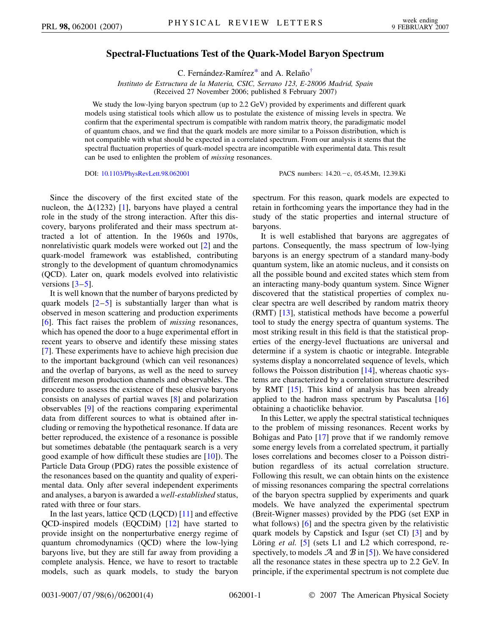## **Spectral-Fluctuations Test of the Quark-Model Baryon Spectrum**

C. Fernández-Ramírez $*$  and A. Relaño<sup>†</sup>

*Instituto de Estructura de la Materia, CSIC, Serrano 123, E-28006 Madrid, Spain* (Received 27 November 2006; published 8 February 2007)

<span id="page-0-0"></span>We study the low-lying baryon spectrum (up to 2.2 GeV) provided by experiments and different quark models using statistical tools which allow us to postulate the existence of missing levels in spectra. We confirm that the experimental spectrum is compatible with random matrix theory, the paradigmatic model of quantum chaos, and we find that the quark models are more similar to a Poisson distribution, which is not compatible with what should be expected in a correlated spectrum. From our analysis it stems that the spectral fluctuation properties of quark-model spectra are incompatible with experimental data. This result can be used to enlighten the problem of *missing* resonances.

DOI: [10.1103/PhysRevLett.98.062001](http://dx.doi.org/10.1103/PhysRevLett.98.062001) PACS numbers: 14.20. - c, 05.45.Mt, 12.39.Ki

Since the discovery of the first excited state of the nucleon, the  $\Delta(1232)$  [[1\]](#page-3-2), baryons have played a central role in the study of the strong interaction. After this discovery, baryons proliferated and their mass spectrum attracted a lot of attention. In the 1960s and 1970s, nonrelativistic quark models were worked out [[2](#page-3-3)] and the quark-model framework was established, contributing strongly to the development of quantum chromodynamics (QCD). Later on, quark models evolved into relativistic versions  $[3-5]$  $[3-5]$ .

It is well known that the number of baryons predicted by quark models  $[2-5]$  $[2-5]$  $[2-5]$  is substantially larger than what is observed in meson scattering and production experiments [\[6\]](#page-3-6). This fact raises the problem of *missing* resonances, which has opened the door to a huge experimental effort in recent years to observe and identify these missing states [\[7\]](#page-3-7). These experiments have to achieve high precision due to the important background (which can veil resonances) and the overlap of baryons, as well as the need to survey different meson production channels and observables. The procedure to assess the existence of these elusive baryons consists on analyses of partial waves [\[8](#page-3-8)] and polarization observables [[9\]](#page-3-9) of the reactions comparing experimental data from different sources to what is obtained after including or removing the hypothetical resonance. If data are better reproduced, the existence of a resonance is possible but sometimes debatable (the pentaquark search is a very good example of how difficult these studies are [[10](#page-3-10)]). The Particle Data Group (PDG) rates the possible existence of the resonances based on the quantity and quality of experimental data. Only after several independent experiments and analyses, a baryon is awarded a *well-established* status, rated with three or four stars.

In the last years, lattice QCD (LQCD) [[11](#page-3-11)] and effective QCD-inspired models (EQCDiM) [[12](#page-3-12)] have started to provide insight on the nonperturbative energy regime of quantum chromodynamics (QCD) where the low-lying baryons live, but they are still far away from providing a complete analysis. Hence, we have to resort to tractable models, such as quark models, to study the baryon spectrum. For this reason, quark models are expected to retain in forthcoming years the importance they had in the study of the static properties and internal structure of baryons.

It is well established that baryons are aggregates of partons. Consequently, the mass spectrum of low-lying baryons is an energy spectrum of a standard many-body quantum system, like an atomic nucleus, and it consists on all the possible bound and excited states which stem from an interacting many-body quantum system. Since Wigner discovered that the statistical properties of complex nuclear spectra are well described by random matrix theory (RMT) [[13](#page-3-13)], statistical methods have become a powerful tool to study the energy spectra of quantum systems. The most striking result in this field is that the statistical properties of the energy-level fluctuations are universal and determine if a system is chaotic or integrable. Integrable systems display a noncorrelated sequence of levels, which follows the Poisson distribution [[14](#page-3-14)], whereas chaotic systems are characterized by a correlation structure described by RMT [\[15\]](#page-3-15). This kind of analysis has been already applied to the hadron mass spectrum by Pascalutsa [\[16\]](#page-3-16) obtaining a chaoticlike behavior.

In this Letter, we apply the spectral statistical techniques to the problem of missing resonances. Recent works by Bohigas and Pato [\[17\]](#page-3-17) prove that if we randomly remove some energy levels from a correlated spectrum, it partially loses correlations and becomes closer to a Poisson distribution regardless of its actual correlation structure. Following this result, we can obtain hints on the existence of missing resonances comparing the spectral correlations of the baryon spectra supplied by experiments and quark models. We have analyzed the experimental spectrum (Breit-Wigner masses) provided by the PDG (set EXP in what follows) [\[6](#page-3-6)] and the spectra given by the relativistic quark models by Capstick and Isgur (set CI) [[3\]](#page-3-4) and by Löring *et al.* [[5](#page-3-5)] (sets L1 and L2 which correspond, respectively, to models  $\mathcal A$  and  $\mathcal B$  in [\[5](#page-3-5)]). We have considered all the resonance states in these spectra up to 2.2 GeV. In principle, if the experimental spectrum is not complete due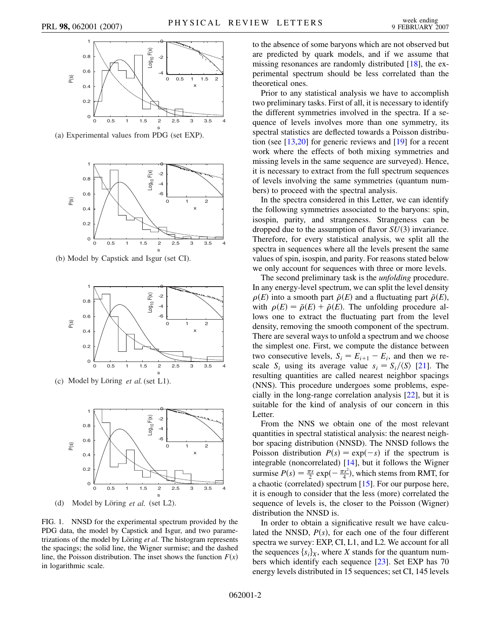<span id="page-1-0"></span>

(a) Experimental values from PDG (set EXP).



(b) Model by Capstick and Isgur (set CI).



(c) Model by Löring *et al.* (set L1).



(d) Model by Löring  $et$  al. (set L2).

FIG. 1. NNSD for the experimental spectrum provided by the PDG data, the model by Capstick and Isgur, and two parametrizations of the model by Löring *et al*. The histogram represents the spacings; the solid line, the Wigner surmise; and the dashed line, the Poisson distribution. The inset shows the function  $F(x)$ in logarithmic scale.

to the absence of some baryons which are not observed but are predicted by quark models, and if we assume that missing resonances are randomly distributed [[18](#page-3-18)], the experimental spectrum should be less correlated than the theoretical ones.

Prior to any statistical analysis we have to accomplish two preliminary tasks. First of all, it is necessary to identify the different symmetries involved in the spectra. If a sequence of levels involves more than one symmetry, its spectral statistics are deflected towards a Poisson distribution (see [[13](#page-3-13),[20](#page-3-19)] for generic reviews and [\[19\]](#page-3-20) for a recent work where the effects of both mixing symmetries and missing levels in the same sequence are surveyed). Hence, it is necessary to extract from the full spectrum sequences of levels involving the same symmetries (quantum numbers) to proceed with the spectral analysis.

In the spectra considered in this Letter, we can identify the following symmetries associated to the baryons: spin, isospin, parity, and strangeness. Strangeness can be dropped due to the assumption of flavor  $SU(3)$  invariance. Therefore, for every statistical analysis, we split all the spectra in sequences where all the levels present the same values of spin, isospin, and parity. For reasons stated below we only account for sequences with three or more levels.

The second preliminary task is the *unfolding* procedure. In any energy-level spectrum, we can split the level density  $\rho(E)$  into a smooth part  $\bar{\rho}(E)$  and a fluctuating part  $\tilde{\rho}(E)$ , with  $\rho(E) = \bar{\rho}(E) + \tilde{\rho}(E)$ . The unfolding procedure allows one to extract the fluctuating part from the level density, removing the smooth component of the spectrum. There are several ways to unfold a spectrum and we choose the simplest one. First, we compute the distance between two consecutive levels,  $S_i = E_{i+1} - E_i$ , and then we rescale  $S_i$  using its average value  $s_i = S_i / \langle S \rangle$  [[21](#page-3-21)]. The resulting quantities are called nearest neighbor spacings (NNS). This procedure undergoes some problems, especially in the long-range correlation analysis [\[22\]](#page-3-22), but it is suitable for the kind of analysis of our concern in this Letter.

From the NNS we obtain one of the most relevant quantities in spectral statistical analysis: the nearest neighbor spacing distribution (NNSD). The NNSD follows the Poisson distribution  $P(s) = \exp(-s)$  if the spectrum is integrable (noncorrelated) [[14](#page-3-14)], but it follows the Wigner surmise  $P(s) = \frac{\pi s}{2} \exp(-\frac{\pi s^2}{4})$ , which stems from RMT, for a chaotic (correlated) spectrum [\[15\]](#page-3-15). For our purpose here, it is enough to consider that the less (more) correlated the sequence of levels is, the closer to the Poisson (Wigner) distribution the NNSD is.

In order to obtain a significative result we have calculated the NNSD,  $P(s)$ , for each one of the four different spectra we survey: EXP, CI, L1, and L2. We account for all the sequences  $\{s_i\}_X$ , where *X* stands for the quantum numbers which identify each sequence [[23](#page-3-23)]. Set EXP has 70 energy levels distributed in 15 sequences; set CI, 145 levels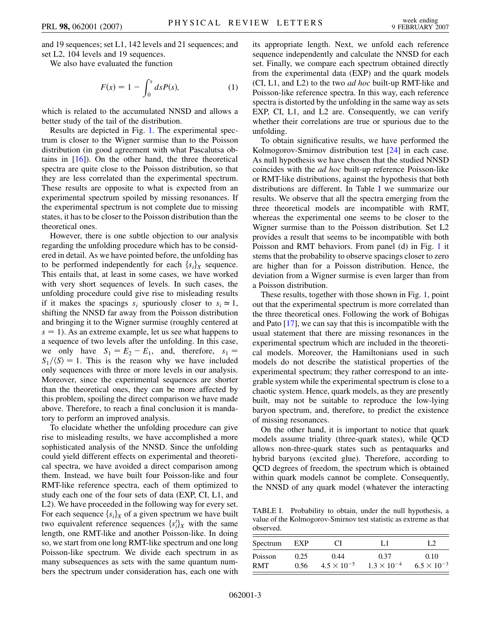and 19 sequences; set L1, 142 levels and 21 sequences; and set L2, 104 levels and 19 sequences.

We also have evaluated the function

$$
F(x) = 1 - \int_0^x ds P(s),
$$
 (1)

which is related to the accumulated NNSD and allows a better study of the tail of the distribution.

Results are depicted in Fig. [1](#page-1-0). The experimental spectrum is closer to the Wigner surmise than to the Poisson distribution (in good agreement with what Pascalutsa obtains in  $[16]$ ). On the other hand, the three theoretical spectra are quite close to the Poisson distribution, so that they are less correlated than the experimental spectrum. These results are opposite to what is expected from an experimental spectrum spoiled by missing resonances. If the experimental spectrum is not complete due to missing states, it has to be closer to the Poisson distribution than the theoretical ones.

However, there is one subtle objection to our analysis regarding the unfolding procedure which has to be considered in detail. As we have pointed before, the unfolding has to be performed independently for each  $\{s_i\}_X$  sequence. This entails that, at least in some cases, we have worked with very short sequences of levels. In such cases, the unfolding procedure could give rise to misleading results if it makes the spacings  $s_i$  spuriously closer to  $s_i \approx 1$ , shifting the NNSD far away from the Poisson distribution and bringing it to the Wigner surmise (roughly centered at  $s = 1$ ). As an extreme example, let us see what happens to a sequence of two levels after the unfolding. In this case, we only have  $S_1 = E_2 - E_1$ , and, therefore,  $s_1 =$  $S_1/\langle S \rangle = 1$ . This is the reason why we have included only sequences with three or more levels in our analysis. Moreover, since the experimental sequences are shorter than the theoretical ones, they can be more affected by this problem, spoiling the direct comparison we have made above. Therefore, to reach a final conclusion it is mandatory to perform an improved analysis.

To elucidate whether the unfolding procedure can give rise to misleading results, we have accomplished a more sophisticated analysis of the NNSD. Since the unfolding could yield different effects on experimental and theoretical spectra, we have avoided a direct comparison among them. Instead, we have built four Poisson-like and four RMT-like reference spectra, each of them optimized to study each one of the four sets of data (EXP, CI, L1, and L2). We have proceeded in the following way for every set. For each sequence  $\{s_i\}_X$  of a given spectrum we have built two equivalent reference sequences  $\{s_i'\}_X$  with the same length, one RMT-like and another Poisson-like. In doing so, we start from one long RMT-like spectrum and one long Poisson-like spectrum. We divide each spectrum in as many subsequences as sets with the same quantum numbers the spectrum under consideration has, each one with its appropriate length. Next, we unfold each reference sequence independently and calculate the NNSD for each set. Finally, we compare each spectrum obtained directly from the experimental data (EXP) and the quark models (CI, L1, and L2) to the two *ad hoc* built-up RMT-like and Poisson-like reference spectra. In this way, each reference spectra is distorted by the unfolding in the same way as sets EXP, CI, L1, and L2 are. Consequently, we can verify whether their correlations are true or spurious due to the unfolding.

To obtain significative results, we have performed the Kolmogorov-Smirnov distribution test [[24](#page-3-24)] in each case. As null hypothesis we have chosen that the studied NNSD coincides with the *ad hoc* built-up reference Poisson-like or RMT-like distributions, against the hypothesis that both distributions are different. In Table I we summarize our results. We observe that all the spectra emerging from the three theoretical models are incompatible with RMT, whereas the experimental one seems to be closer to the Wigner surmise than to the Poisson distribution. Set L2 provides a result that seems to be incompatible with both Poisson and RMT behaviors. From panel (d) in Fig. [1](#page-1-0) it stems that the probability to observe spacings closer to zero are higher than for a Poisson distribution. Hence, the deviation from a Wigner surmise is even larger than from a Poisson distribution.

These results, together with those shown in Fig. [1](#page-1-0), point out that the experimental spectrum is more correlated than the three theoretical ones. Following the work of Bohigas and Pato [[17](#page-3-17)], we can say that this is incompatible with the usual statement that there are missing resonances in the experimental spectrum which are included in the theoretical models. Moreover, the Hamiltonians used in such models do not describe the statistical properties of the experimental spectrum; they rather correspond to an integrable system while the experimental spectrum is close to a chaotic system. Hence, quark models, as they are presently built, may not be suitable to reproduce the low-lying baryon spectrum, and, therefore, to predict the existence of missing resonances.

On the other hand, it is important to notice that quark models assume triality (three-quark states), while QCD allows non-three-quark states such as pentaquarks and hybrid baryons (excited glue). Therefore, according to QCD degrees of freedom, the spectrum which is obtained within quark models cannot be complete. Consequently, the NNSD of any quark model (whatever the interacting

TABLE I. Probability to obtain, under the null hypothesis, a value of the Kolmogorov-Smirnov test statistic as extreme as that observed.

| Spectrum   | EXP  | C.                   | LЛ                   |                      |
|------------|------|----------------------|----------------------|----------------------|
| Poisson    | 0.25 | 0.44                 | 0.37                 | 0.10                 |
| <b>RMT</b> | 0.56 | $4.5 \times 10^{-5}$ | $1.3 \times 10^{-4}$ | $6.5 \times 10^{-3}$ |